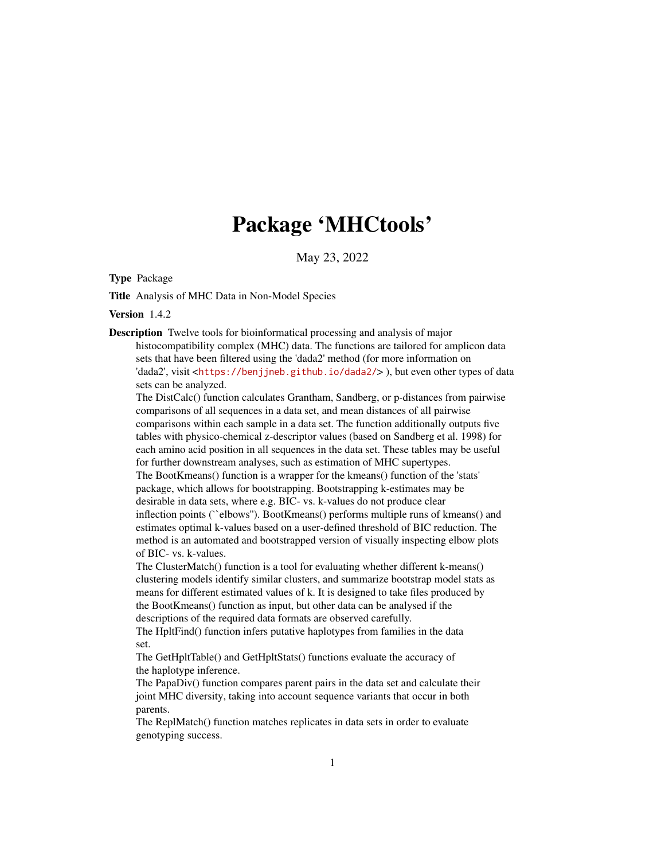# Package 'MHCtools'

May 23, 2022

Type Package

Title Analysis of MHC Data in Non-Model Species

Version 1.4.2

Description Twelve tools for bioinformatical processing and analysis of major histocompatibility complex (MHC) data. The functions are tailored for amplicon data sets that have been filtered using the 'dada2' method (for more information on 'dada2', visit <<https://benjjneb.github.io/dada2/>>), but even other types of data

sets can be analyzed.

The DistCalc() function calculates Grantham, Sandberg, or p-distances from pairwise comparisons of all sequences in a data set, and mean distances of all pairwise comparisons within each sample in a data set. The function additionally outputs five tables with physico-chemical z-descriptor values (based on Sandberg et al. 1998) for each amino acid position in all sequences in the data set. These tables may be useful for further downstream analyses, such as estimation of MHC supertypes. The BootKmeans() function is a wrapper for the kmeans() function of the 'stats' package, which allows for bootstrapping. Bootstrapping k-estimates may be desirable in data sets, where e.g. BIC- vs. k-values do not produce clear inflection points (``elbows''). BootKmeans() performs multiple runs of kmeans() and estimates optimal k-values based on a user-defined threshold of BIC reduction. The method is an automated and bootstrapped version of visually inspecting elbow plots of BIC- vs. k-values.

The ClusterMatch() function is a tool for evaluating whether different k-means() clustering models identify similar clusters, and summarize bootstrap model stats as means for different estimated values of k. It is designed to take files produced by the BootKmeans() function as input, but other data can be analysed if the descriptions of the required data formats are observed carefully.

The HpltFind() function infers putative haplotypes from families in the data set.

The GetHpltTable() and GetHpltStats() functions evaluate the accuracy of the haplotype inference.

The PapaDiv() function compares parent pairs in the data set and calculate their joint MHC diversity, taking into account sequence variants that occur in both parents.

The ReplMatch() function matches replicates in data sets in order to evaluate genotyping success.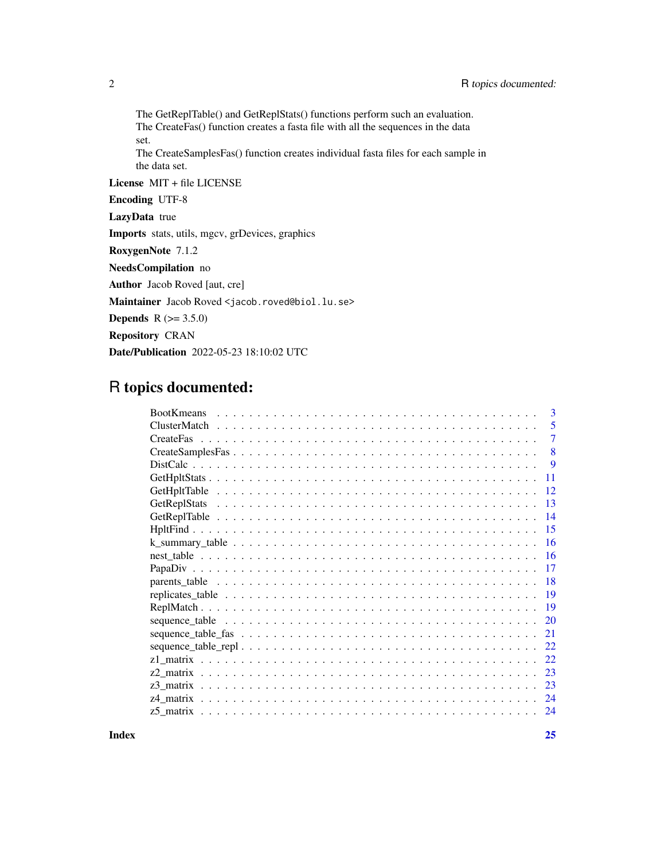The GetReplTable() and GetReplStats() functions perform such an evaluation. The CreateFas() function creates a fasta file with all the sequences in the data set.

The CreateSamplesFas() function creates individual fasta files for each sample in the data set.

License MIT + file LICENSE

Encoding UTF-8

LazyData true

Imports stats, utils, mgcv, grDevices, graphics

RoxygenNote 7.1.2

NeedsCompilation no

Author Jacob Roved [aut, cre]

Maintainer Jacob Roved <jacob.roved@biol.lu.se>

**Depends** R  $(>= 3.5.0)$ 

Repository CRAN

Date/Publication 2022-05-23 18:10:02 UTC

## R topics documented:

| 3<br><b>BootKmeans</b> |
|------------------------|
| 5                      |
| 7                      |
| 8                      |
| 9                      |
| -11                    |
| -12                    |
| $\overline{13}$        |
| -14                    |
|                        |
| -16                    |
|                        |
|                        |
|                        |
|                        |
| <b>19</b>              |
| 20                     |
| 21                     |
| 22                     |
| 22                     |
| 23                     |
| 23                     |
| 24                     |
| 24                     |

**Index** [25](#page-24-0)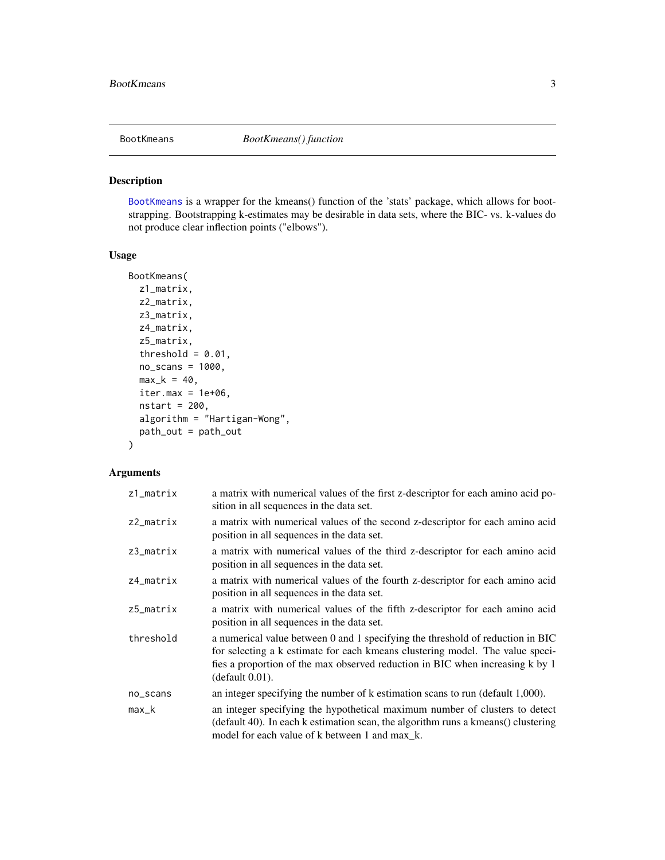<span id="page-2-1"></span><span id="page-2-0"></span>

[BootKmeans](#page-2-1) is a wrapper for the kmeans() function of the 'stats' package, which allows for bootstrapping. Bootstrapping k-estimates may be desirable in data sets, where the BIC- vs. k-values do not produce clear inflection points ("elbows").

#### Usage

```
BootKmeans(
  z1_matrix,
 z2_matrix,
  z3_matrix,
  z4_matrix,
  z5_matrix,
  threshold = 0.01,
  no\_scans = 1000,
 max_k = 40,
  iter.max = 1e+06,nstart = 200,
  algorithm = "Hartigan-Wong",
 path_out = path_out
)
```
#### Arguments

| $z1$ _matrix | a matrix with numerical values of the first z-descriptor for each amino acid po-<br>sition in all sequences in the data set.                                                                                                                                        |
|--------------|---------------------------------------------------------------------------------------------------------------------------------------------------------------------------------------------------------------------------------------------------------------------|
| $z2$ _matrix | a matrix with numerical values of the second z-descriptor for each amino acid<br>position in all sequences in the data set.                                                                                                                                         |
| $z3$ _matrix | a matrix with numerical values of the third z-descriptor for each amino acid<br>position in all sequences in the data set.                                                                                                                                          |
| $z4$ _matrix | a matrix with numerical values of the fourth z-descriptor for each amino acid<br>position in all sequences in the data set.                                                                                                                                         |
| $z5$ _matrix | a matrix with numerical values of the fifth z-descriptor for each amino acid<br>position in all sequences in the data set.                                                                                                                                          |
| threshold    | a numerical value between 0 and 1 specifying the threshold of reduction in BIC<br>for selecting a k estimate for each kmeans clustering model. The value speci-<br>fies a proportion of the max observed reduction in BIC when increasing k by 1<br>(default 0.01). |
| no_scans     | an integer specifying the number of k estimation scans to run (default 1,000).                                                                                                                                                                                      |
| max_k        | an integer specifying the hypothetical maximum number of clusters to detect<br>(default 40). In each k estimation scan, the algorithm runs a kmeans() clustering<br>model for each value of k between 1 and max k.                                                  |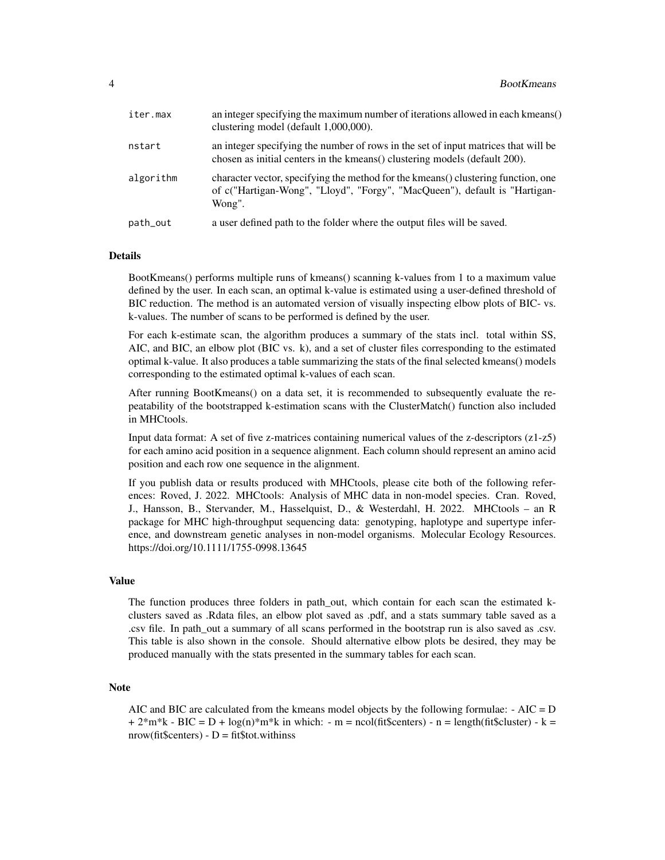| iter.max  | an integer specifying the maximum number of iterations allowed in each kmeans()<br>clustering model (default 1,000,000).                                                   |
|-----------|----------------------------------------------------------------------------------------------------------------------------------------------------------------------------|
| nstart    | an integer specifying the number of rows in the set of input matrices that will be<br>chosen as initial centers in the kmeans () clustering models (default 200).          |
| algorithm | character vector, specifying the method for the kmeans () clustering function, one<br>of c("Hartigan-Wong", "Lloyd", "Forgy", "MacQueen"), default is "Hartigan-<br>Wong". |
| path_out  | a user defined path to the folder where the output files will be saved.                                                                                                    |

#### Details

BootKmeans() performs multiple runs of kmeans() scanning k-values from 1 to a maximum value defined by the user. In each scan, an optimal k-value is estimated using a user-defined threshold of BIC reduction. The method is an automated version of visually inspecting elbow plots of BIC- vs. k-values. The number of scans to be performed is defined by the user.

For each k-estimate scan, the algorithm produces a summary of the stats incl. total within SS, AIC, and BIC, an elbow plot (BIC vs. k), and a set of cluster files corresponding to the estimated optimal k-value. It also produces a table summarizing the stats of the final selected kmeans() models corresponding to the estimated optimal k-values of each scan.

After running BootKmeans() on a data set, it is recommended to subsequently evaluate the repeatability of the bootstrapped k-estimation scans with the ClusterMatch() function also included in MHCtools.

Input data format: A set of five z-matrices containing numerical values of the z-descriptors (z1-z5) for each amino acid position in a sequence alignment. Each column should represent an amino acid position and each row one sequence in the alignment.

If you publish data or results produced with MHCtools, please cite both of the following references: Roved, J. 2022. MHCtools: Analysis of MHC data in non-model species. Cran. Roved, J., Hansson, B., Stervander, M., Hasselquist, D., & Westerdahl, H. 2022. MHCtools – an R package for MHC high-throughput sequencing data: genotyping, haplotype and supertype inference, and downstream genetic analyses in non-model organisms. Molecular Ecology Resources. https://doi.org/10.1111/1755-0998.13645

#### Value

The function produces three folders in path\_out, which contain for each scan the estimated kclusters saved as .Rdata files, an elbow plot saved as .pdf, and a stats summary table saved as a .csv file. In path\_out a summary of all scans performed in the bootstrap run is also saved as .csv. This table is also shown in the console. Should alternative elbow plots be desired, they may be produced manually with the stats presented in the summary tables for each scan.

#### **Note**

AIC and BIC are calculated from the kmeans model objects by the following formulae: - AIC = D  $+ 2<sup>*</sup>m<sup>*</sup>k - BIC = D + log(n)<sup>*</sup>m<sup>*</sup>k$  in which: - m = ncol(fit\$centers) - n = length(fit\$cluster) - k = nrow(fit\$centers) -  $D = fit$tot. with inss$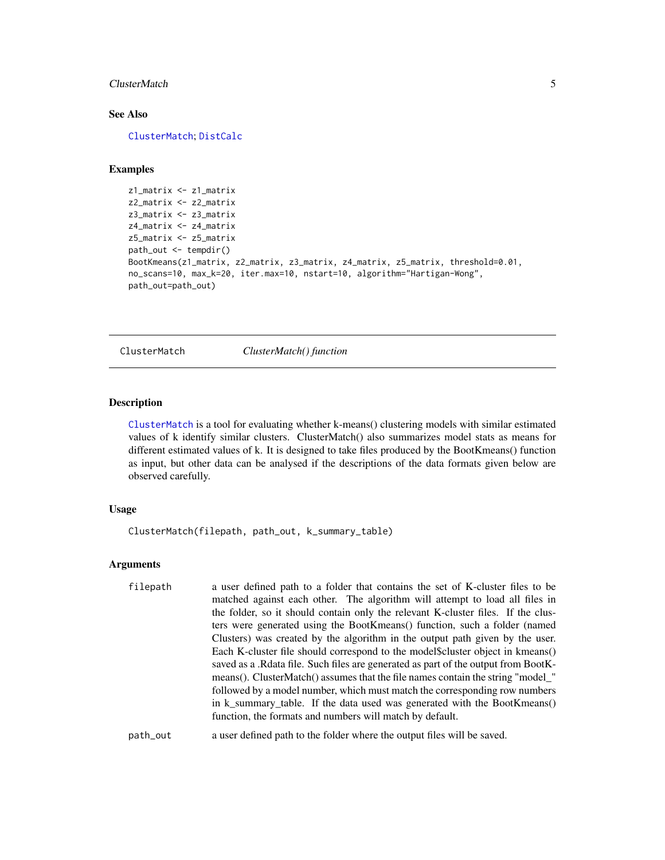#### <span id="page-4-0"></span>ClusterMatch 5

#### See Also

[ClusterMatch](#page-4-1); [DistCalc](#page-8-1)

#### Examples

```
z1_matrix <- z1_matrix
z2_matrix <- z2_matrix
z3_matrix <- z3_matrix
z4_matrix <- z4_matrix
z5_matrix <- z5_matrix
path_out <- tempdir()
BootKmeans(z1_matrix, z2_matrix, z3_matrix, z4_matrix, z5_matrix, threshold=0.01,
no_scans=10, max_k=20, iter.max=10, nstart=10, algorithm="Hartigan-Wong",
path_out=path_out)
```
<span id="page-4-1"></span>ClusterMatch *ClusterMatch() function*

#### Description

[ClusterMatch](#page-4-1) is a tool for evaluating whether k-means() clustering models with similar estimated values of k identify similar clusters. ClusterMatch() also summarizes model stats as means for different estimated values of k. It is designed to take files produced by the BootKmeans() function as input, but other data can be analysed if the descriptions of the data formats given below are observed carefully.

#### Usage

ClusterMatch(filepath, path\_out, k\_summary\_table)

#### Arguments

| filepath | a user defined path to a folder that contains the set of K-cluster files to be       |
|----------|--------------------------------------------------------------------------------------|
|          | matched against each other. The algorithm will attempt to load all files in          |
|          | the folder, so it should contain only the relevant K-cluster files. If the clus-     |
|          | ters were generated using the BootKmeans() function, such a folder (named            |
|          | Clusters) was created by the algorithm in the output path given by the user.         |
|          | Each K-cluster file should correspond to the model\$cluster object in kmeans()       |
|          | saved as a . Reduce file. Such files are generated as part of the output from BootK- |
|          | means(). ClusterMatch() assumes that the file names contain the string "model_"      |
|          | followed by a model number, which must match the corresponding row numbers           |
|          | in k_summary_table. If the data used was generated with the BootKmeans()             |
|          | function, the formats and numbers will match by default.                             |
|          |                                                                                      |

#### path\_out a user defined path to the folder where the output files will be saved.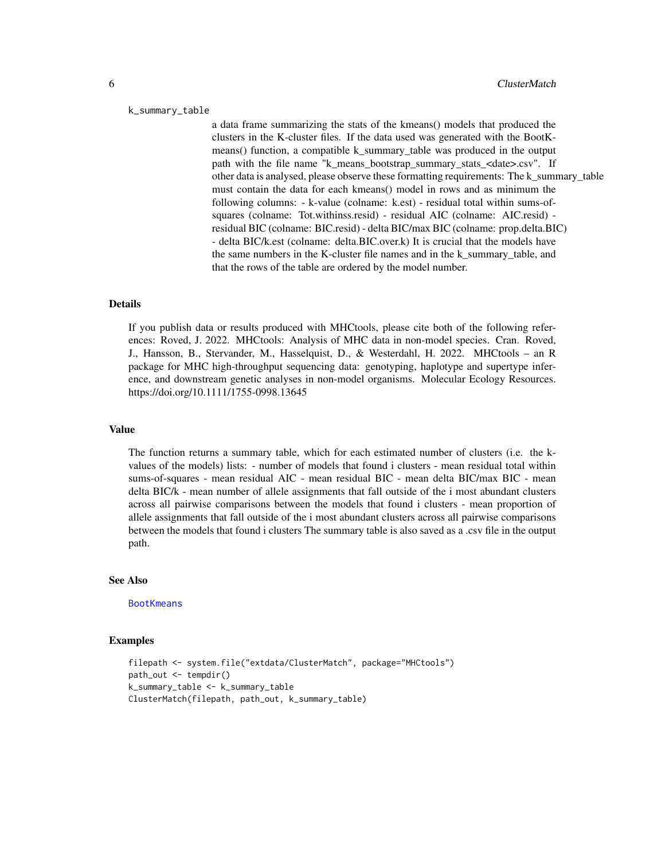#### <span id="page-5-0"></span>k\_summary\_table

a data frame summarizing the stats of the kmeans() models that produced the clusters in the K-cluster files. If the data used was generated with the BootKmeans() function, a compatible k summary table was produced in the output path with the file name "k\_means\_bootstrap\_summary\_stats\_<date>.csv". If other data is analysed, please observe these formatting requirements: The k\_summary\_table must contain the data for each kmeans() model in rows and as minimum the following columns: - k-value (colname: k.est) - residual total within sums-ofsquares (colname: Tot.withinss.resid) - residual AIC (colname: AIC.resid) residual BIC (colname: BIC.resid) - delta BIC/max BIC (colname: prop.delta.BIC) - delta BIC/k.est (colname: delta.BIC.over.k) It is crucial that the models have the same numbers in the K-cluster file names and in the k\_summary\_table, and that the rows of the table are ordered by the model number.

#### Details

If you publish data or results produced with MHCtools, please cite both of the following references: Roved, J. 2022. MHCtools: Analysis of MHC data in non-model species. Cran. Roved, J., Hansson, B., Stervander, M., Hasselquist, D., & Westerdahl, H. 2022. MHCtools – an R package for MHC high-throughput sequencing data: genotyping, haplotype and supertype inference, and downstream genetic analyses in non-model organisms. Molecular Ecology Resources. https://doi.org/10.1111/1755-0998.13645

#### Value

The function returns a summary table, which for each estimated number of clusters (i.e. the kvalues of the models) lists: - number of models that found i clusters - mean residual total within sums-of-squares - mean residual AIC - mean residual BIC - mean delta BIC/max BIC - mean delta BIC/k - mean number of allele assignments that fall outside of the i most abundant clusters across all pairwise comparisons between the models that found i clusters - mean proportion of allele assignments that fall outside of the i most abundant clusters across all pairwise comparisons between the models that found i clusters The summary table is also saved as a .csv file in the output path.

#### See Also

**[BootKmeans](#page-2-1)** 

```
filepath <- system.file("extdata/ClusterMatch", package="MHCtools")
path_out <- tempdir()
k_summary_table <- k_summary_table
ClusterMatch(filepath, path_out, k_summary_table)
```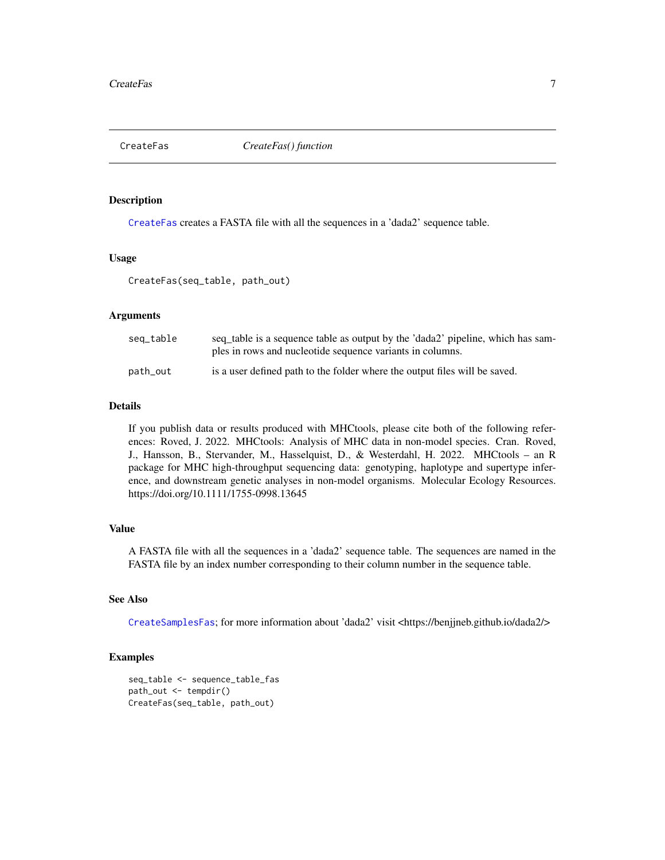<span id="page-6-1"></span><span id="page-6-0"></span>CreateFas *CreateFas() function*

#### Description

[CreateFas](#page-6-1) creates a FASTA file with all the sequences in a 'dada2' sequence table.

#### Usage

CreateFas(seq\_table, path\_out)

#### Arguments

| seq_table | seq table is a sequence table as output by the 'dada2' pipeline, which has sam-<br>ples in rows and nucleotide sequence variants in columns. |
|-----------|----------------------------------------------------------------------------------------------------------------------------------------------|
| path_out  | is a user defined path to the folder where the output files will be saved.                                                                   |

#### Details

If you publish data or results produced with MHCtools, please cite both of the following references: Roved, J. 2022. MHCtools: Analysis of MHC data in non-model species. Cran. Roved, J., Hansson, B., Stervander, M., Hasselquist, D., & Westerdahl, H. 2022. MHCtools – an R package for MHC high-throughput sequencing data: genotyping, haplotype and supertype inference, and downstream genetic analyses in non-model organisms. Molecular Ecology Resources. https://doi.org/10.1111/1755-0998.13645

#### Value

A FASTA file with all the sequences in a 'dada2' sequence table. The sequences are named in the FASTA file by an index number corresponding to their column number in the sequence table.

#### See Also

[CreateSamplesFas](#page-7-1); for more information about 'dada2' visit <https://benjjneb.github.io/dada2/>

```
seq_table <- sequence_table_fas
path_out <- tempdir()
CreateFas(seq_table, path_out)
```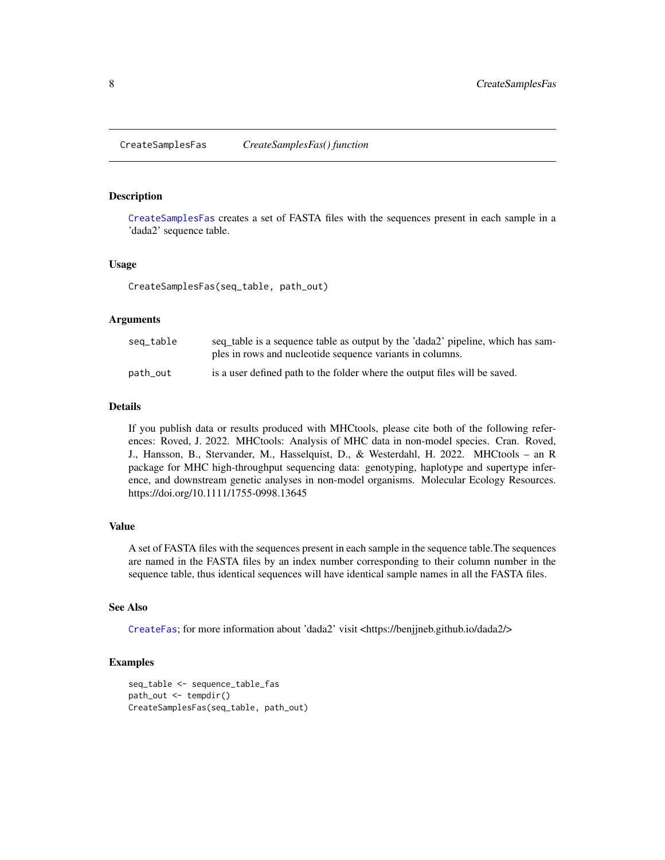<span id="page-7-1"></span><span id="page-7-0"></span>CreateSamplesFas *CreateSamplesFas() function*

#### **Description**

[CreateSamplesFas](#page-7-1) creates a set of FASTA files with the sequences present in each sample in a 'dada2' sequence table.

#### Usage

CreateSamplesFas(seq\_table, path\_out)

#### **Arguments**

| seq_table | seq table is a sequence table as output by the 'dada2' pipeline, which has sam-<br>ples in rows and nucleotide sequence variants in columns. |
|-----------|----------------------------------------------------------------------------------------------------------------------------------------------|
| path_out  | is a user defined path to the folder where the output files will be saved.                                                                   |

#### Details

If you publish data or results produced with MHCtools, please cite both of the following references: Roved, J. 2022. MHCtools: Analysis of MHC data in non-model species. Cran. Roved, J., Hansson, B., Stervander, M., Hasselquist, D., & Westerdahl, H. 2022. MHCtools – an R package for MHC high-throughput sequencing data: genotyping, haplotype and supertype inference, and downstream genetic analyses in non-model organisms. Molecular Ecology Resources. https://doi.org/10.1111/1755-0998.13645

#### Value

A set of FASTA files with the sequences present in each sample in the sequence table.The sequences are named in the FASTA files by an index number corresponding to their column number in the sequence table, thus identical sequences will have identical sample names in all the FASTA files.

#### See Also

[CreateFas](#page-6-1); for more information about 'dada2' visit <https://benjjneb.github.io/dada2/>

```
seq_table <- sequence_table_fas
path_out <- tempdir()
CreateSamplesFas(seq_table, path_out)
```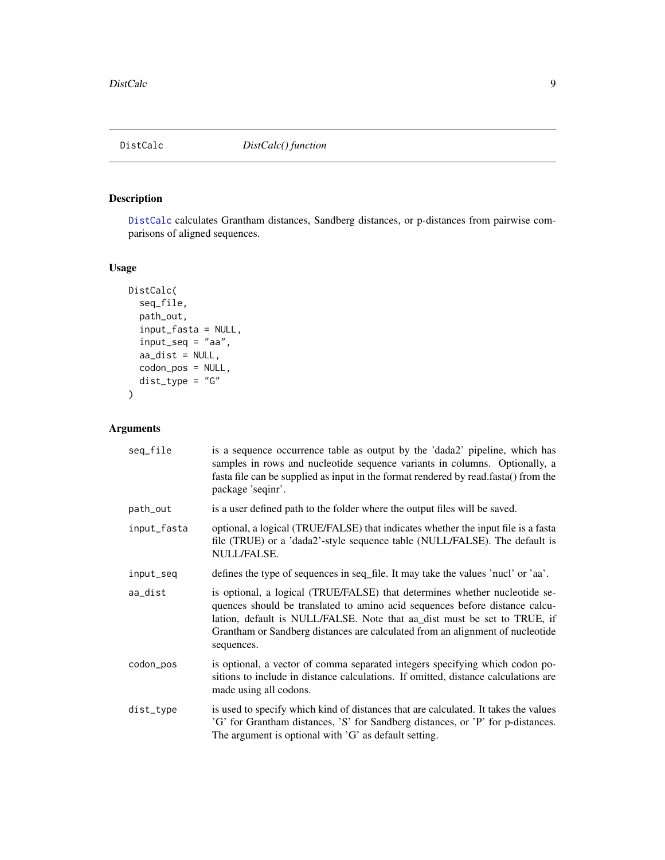<span id="page-8-1"></span><span id="page-8-0"></span>

[DistCalc](#page-8-1) calculates Grantham distances, Sandberg distances, or p-distances from pairwise comparisons of aligned sequences.

#### Usage

```
DistCalc(
  seq_file,
  path_out,
  input_fasta = NULL,
  input_seq = "aa",
  aa\_dist = NULL,codon_pos = NULL,
  dist_type = "G"
\overline{\phantom{a}}
```
#### Arguments

| seq_file    | is a sequence occurrence table as output by the 'dada2' pipeline, which has<br>samples in rows and nucleotide sequence variants in columns. Optionally, a<br>fasta file can be supplied as input in the format rendered by read.fasta() from the<br>package 'seqinr'.                                                                |
|-------------|--------------------------------------------------------------------------------------------------------------------------------------------------------------------------------------------------------------------------------------------------------------------------------------------------------------------------------------|
| path_out    | is a user defined path to the folder where the output files will be saved.                                                                                                                                                                                                                                                           |
| input_fasta | optional, a logical (TRUE/FALSE) that indicates whether the input file is a fasta<br>file (TRUE) or a 'dada2'-style sequence table (NULL/FALSE). The default is<br>NULL/FALSE.                                                                                                                                                       |
| input_seq   | defines the type of sequences in seq_file. It may take the values 'nucl' or 'aa'.                                                                                                                                                                                                                                                    |
| aa_dist     | is optional, a logical (TRUE/FALSE) that determines whether nucleotide se-<br>quences should be translated to amino acid sequences before distance calcu-<br>lation, default is NULL/FALSE. Note that aa_dist must be set to TRUE, if<br>Grantham or Sandberg distances are calculated from an alignment of nucleotide<br>sequences. |
| codon_pos   | is optional, a vector of comma separated integers specifying which codon po-<br>sitions to include in distance calculations. If omitted, distance calculations are<br>made using all codons.                                                                                                                                         |
| dist_type   | is used to specify which kind of distances that are calculated. It takes the values<br>'G' for Grantham distances, 'S' for Sandberg distances, or 'P' for p-distances.<br>The argument is optional with 'G' as default setting.                                                                                                      |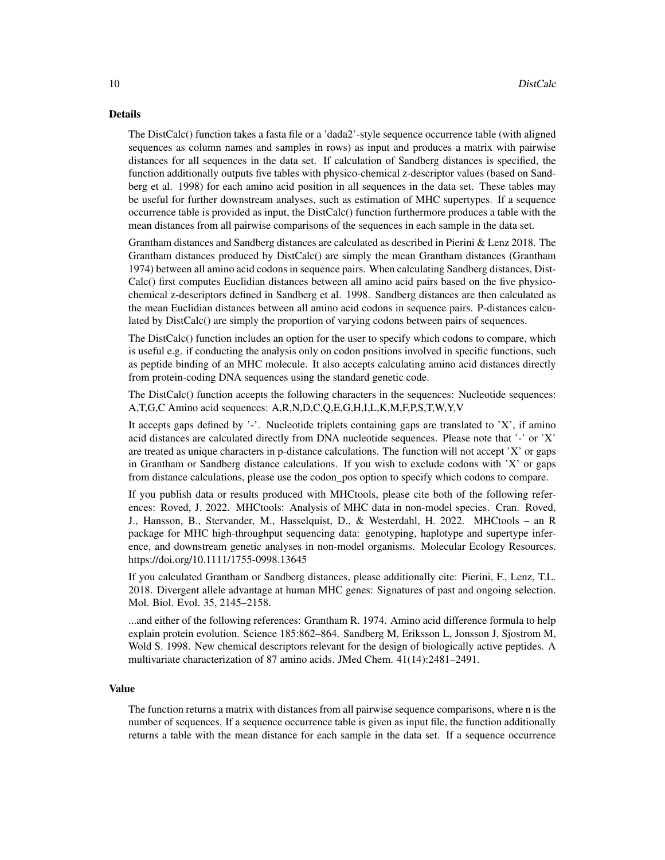#### Details

The DistCalc() function takes a fasta file or a 'dada2'-style sequence occurrence table (with aligned sequences as column names and samples in rows) as input and produces a matrix with pairwise distances for all sequences in the data set. If calculation of Sandberg distances is specified, the function additionally outputs five tables with physico-chemical z-descriptor values (based on Sandberg et al. 1998) for each amino acid position in all sequences in the data set. These tables may be useful for further downstream analyses, such as estimation of MHC supertypes. If a sequence occurrence table is provided as input, the DistCalc() function furthermore produces a table with the mean distances from all pairwise comparisons of the sequences in each sample in the data set.

Grantham distances and Sandberg distances are calculated as described in Pierini & Lenz 2018. The Grantham distances produced by DistCalc() are simply the mean Grantham distances (Grantham 1974) between all amino acid codons in sequence pairs. When calculating Sandberg distances, Dist-Calc() first computes Euclidian distances between all amino acid pairs based on the five physicochemical z-descriptors defined in Sandberg et al. 1998. Sandberg distances are then calculated as the mean Euclidian distances between all amino acid codons in sequence pairs. P-distances calculated by DistCalc() are simply the proportion of varying codons between pairs of sequences.

The DistCalc() function includes an option for the user to specify which codons to compare, which is useful e.g. if conducting the analysis only on codon positions involved in specific functions, such as peptide binding of an MHC molecule. It also accepts calculating amino acid distances directly from protein-coding DNA sequences using the standard genetic code.

The DistCalc() function accepts the following characters in the sequences: Nucleotide sequences: A,T,G,C Amino acid sequences: A,R,N,D,C,Q,E,G,H,I,L,K,M,F,P,S,T,W,Y,V

It accepts gaps defined by  $\cdot$ -'. Nucleotide triplets containing gaps are translated to  $X'$ , if amino acid distances are calculated directly from DNA nucleotide sequences. Please note that '-' or 'X' are treated as unique characters in p-distance calculations. The function will not accept 'X' or gaps in Grantham or Sandberg distance calculations. If you wish to exclude codons with  $X'$  or gaps from distance calculations, please use the codon\_pos option to specify which codons to compare.

If you publish data or results produced with MHCtools, please cite both of the following references: Roved, J. 2022. MHCtools: Analysis of MHC data in non-model species. Cran. Roved, J., Hansson, B., Stervander, M., Hasselquist, D., & Westerdahl, H. 2022. MHCtools – an R package for MHC high-throughput sequencing data: genotyping, haplotype and supertype inference, and downstream genetic analyses in non-model organisms. Molecular Ecology Resources. https://doi.org/10.1111/1755-0998.13645

If you calculated Grantham or Sandberg distances, please additionally cite: Pierini, F., Lenz, T.L. 2018. Divergent allele advantage at human MHC genes: Signatures of past and ongoing selection. Mol. Biol. Evol. 35, 2145–2158.

...and either of the following references: Grantham R. 1974. Amino acid difference formula to help explain protein evolution. Science 185:862–864. Sandberg M, Eriksson L, Jonsson J, Sjostrom M, Wold S. 1998. New chemical descriptors relevant for the design of biologically active peptides. A multivariate characterization of 87 amino acids. JMed Chem. 41(14):2481–2491.

#### Value

The function returns a matrix with distances from all pairwise sequence comparisons, where n is the number of sequences. If a sequence occurrence table is given as input file, the function additionally returns a table with the mean distance for each sample in the data set. If a sequence occurrence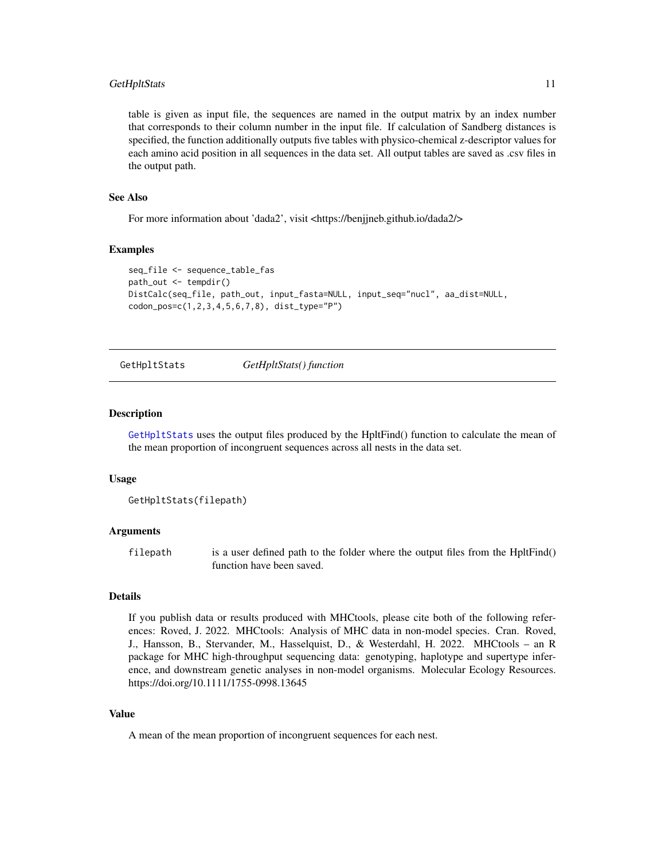#### <span id="page-10-0"></span>GetHpltStats 11

table is given as input file, the sequences are named in the output matrix by an index number that corresponds to their column number in the input file. If calculation of Sandberg distances is specified, the function additionally outputs five tables with physico-chemical z-descriptor values for each amino acid position in all sequences in the data set. All output tables are saved as .csv files in the output path.

#### See Also

For more information about 'dada2', visit <https://benjjneb.github.io/dada2/>

#### Examples

```
seq_file <- sequence_table_fas
path_out <- tempdir()
DistCalc(seq_file, path_out, input_fasta=NULL, input_seq="nucl", aa_dist=NULL,
codon_pos=c(1,2,3,4,5,6,7,8), dist_type="P")
```

```
GetHpltStats GetHpltStats() function
```
#### **Description**

[GetHpltStats](#page-10-1) uses the output files produced by the HpltFind() function to calculate the mean of the mean proportion of incongruent sequences across all nests in the data set.

#### Usage

```
GetHpltStats(filepath)
```
#### Arguments

filepath is a user defined path to the folder where the output files from the HpltFind() function have been saved.

#### Details

If you publish data or results produced with MHCtools, please cite both of the following references: Roved, J. 2022. MHCtools: Analysis of MHC data in non-model species. Cran. Roved, J., Hansson, B., Stervander, M., Hasselquist, D., & Westerdahl, H. 2022. MHCtools – an R package for MHC high-throughput sequencing data: genotyping, haplotype and supertype inference, and downstream genetic analyses in non-model organisms. Molecular Ecology Resources. https://doi.org/10.1111/1755-0998.13645

#### Value

A mean of the mean proportion of incongruent sequences for each nest.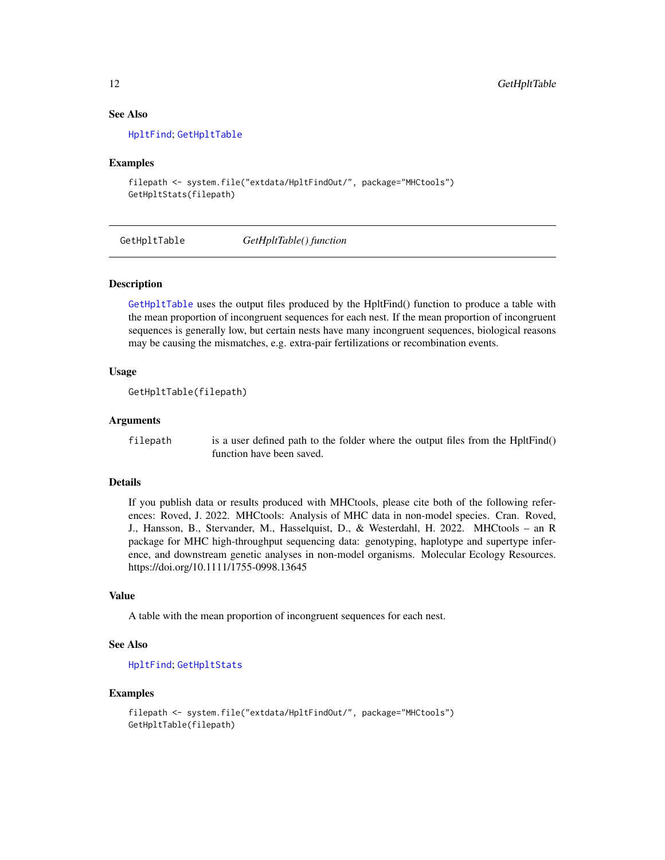#### See Also

[HpltFind](#page-14-1); [GetHpltTable](#page-11-1)

#### Examples

```
filepath <- system.file("extdata/HpltFindOut/", package="MHCtools")
GetHpltStats(filepath)
```
<span id="page-11-1"></span>GetHpltTable *GetHpltTable() function*

#### Description

[GetHpltTable](#page-11-1) uses the output files produced by the HpltFind() function to produce a table with the mean proportion of incongruent sequences for each nest. If the mean proportion of incongruent sequences is generally low, but certain nests have many incongruent sequences, biological reasons may be causing the mismatches, e.g. extra-pair fertilizations or recombination events.

#### Usage

```
GetHpltTable(filepath)
```
#### Arguments

filepath is a user defined path to the folder where the output files from the HpltFind() function have been saved.

#### Details

If you publish data or results produced with MHCtools, please cite both of the following references: Roved, J. 2022. MHCtools: Analysis of MHC data in non-model species. Cran. Roved, J., Hansson, B., Stervander, M., Hasselquist, D., & Westerdahl, H. 2022. MHCtools – an R package for MHC high-throughput sequencing data: genotyping, haplotype and supertype inference, and downstream genetic analyses in non-model organisms. Molecular Ecology Resources. https://doi.org/10.1111/1755-0998.13645

#### Value

A table with the mean proportion of incongruent sequences for each nest.

#### See Also

[HpltFind](#page-14-1); [GetHpltStats](#page-10-1)

```
filepath <- system.file("extdata/HpltFindOut/", package="MHCtools")
GetHpltTable(filepath)
```
<span id="page-11-0"></span>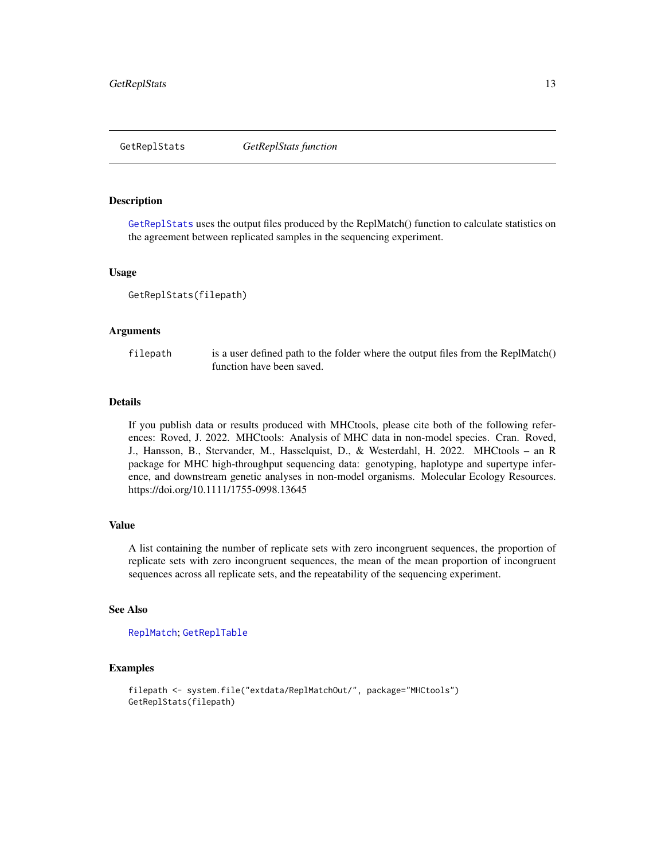<span id="page-12-1"></span><span id="page-12-0"></span>

[GetReplStats](#page-12-1) uses the output files produced by the ReplMatch() function to calculate statistics on the agreement between replicated samples in the sequencing experiment.

#### Usage

GetReplStats(filepath)

#### Arguments

filepath is a user defined path to the folder where the output files from the ReplMatch() function have been saved.

#### Details

If you publish data or results produced with MHCtools, please cite both of the following references: Roved, J. 2022. MHCtools: Analysis of MHC data in non-model species. Cran. Roved, J., Hansson, B., Stervander, M., Hasselquist, D., & Westerdahl, H. 2022. MHCtools – an R package for MHC high-throughput sequencing data: genotyping, haplotype and supertype inference, and downstream genetic analyses in non-model organisms. Molecular Ecology Resources. https://doi.org/10.1111/1755-0998.13645

#### Value

A list containing the number of replicate sets with zero incongruent sequences, the proportion of replicate sets with zero incongruent sequences, the mean of the mean proportion of incongruent sequences across all replicate sets, and the repeatability of the sequencing experiment.

#### See Also

[ReplMatch](#page-18-1); [GetReplTable](#page-13-1)

```
filepath <- system.file("extdata/ReplMatchOut/", package="MHCtools")
GetReplStats(filepath)
```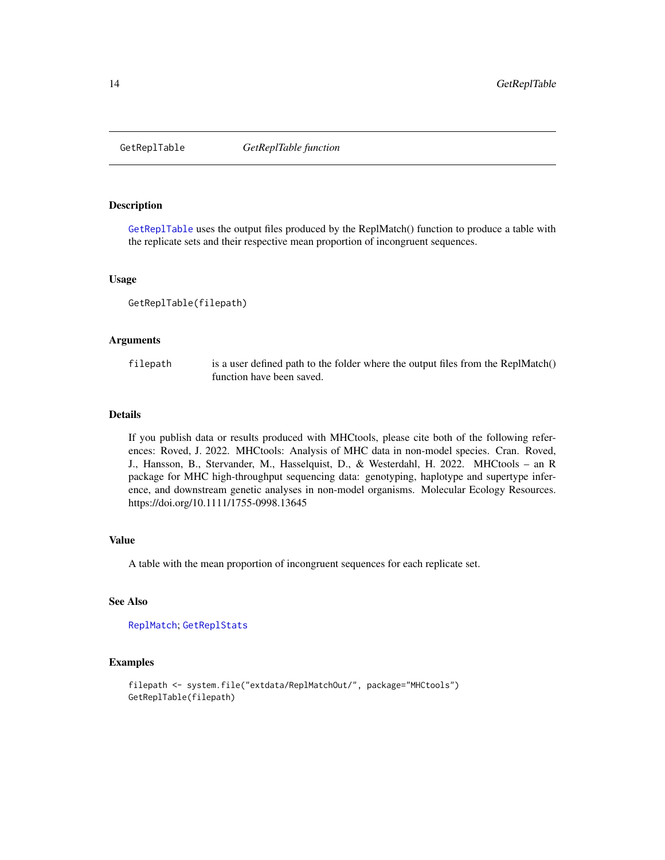<span id="page-13-1"></span><span id="page-13-0"></span>

[GetReplTable](#page-13-1) uses the output files produced by the ReplMatch() function to produce a table with the replicate sets and their respective mean proportion of incongruent sequences.

#### Usage

GetReplTable(filepath)

#### Arguments

filepath is a user defined path to the folder where the output files from the ReplMatch() function have been saved.

#### Details

If you publish data or results produced with MHCtools, please cite both of the following references: Roved, J. 2022. MHCtools: Analysis of MHC data in non-model species. Cran. Roved, J., Hansson, B., Stervander, M., Hasselquist, D., & Westerdahl, H. 2022. MHCtools – an R package for MHC high-throughput sequencing data: genotyping, haplotype and supertype inference, and downstream genetic analyses in non-model organisms. Molecular Ecology Resources. https://doi.org/10.1111/1755-0998.13645

#### Value

A table with the mean proportion of incongruent sequences for each replicate set.

#### See Also

[ReplMatch](#page-18-1); [GetReplStats](#page-12-1)

```
filepath <- system.file("extdata/ReplMatchOut/", package="MHCtools")
GetReplTable(filepath)
```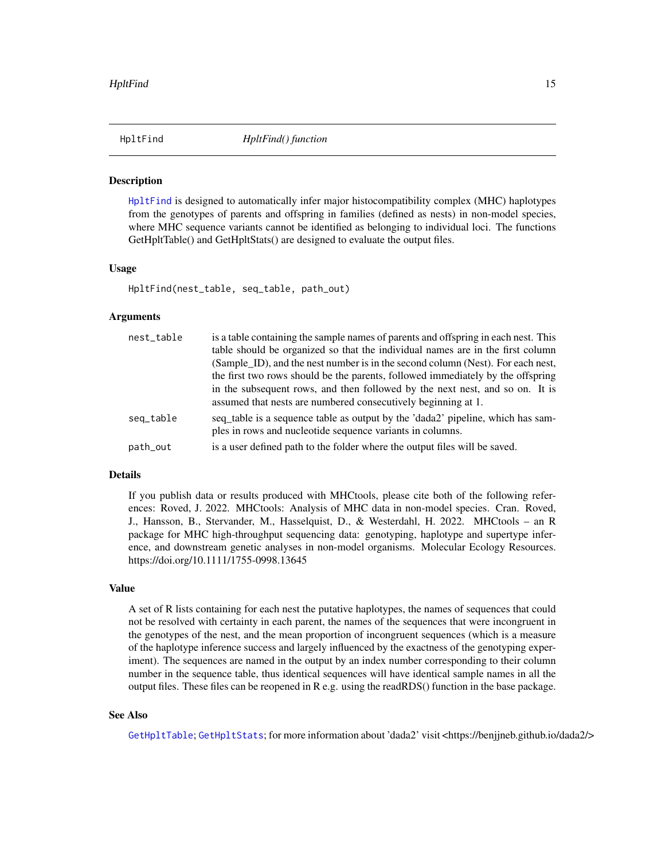<span id="page-14-1"></span><span id="page-14-0"></span>

[HpltFind](#page-14-1) is designed to automatically infer major histocompatibility complex (MHC) haplotypes from the genotypes of parents and offspring in families (defined as nests) in non-model species, where MHC sequence variants cannot be identified as belonging to individual loci. The functions GetHpltTable() and GetHpltStats() are designed to evaluate the output files.

#### Usage

HpltFind(nest\_table, seq\_table, path\_out)

#### Arguments

| nest_table | is a table containing the sample names of parents and offspring in each nest. This                                                            |
|------------|-----------------------------------------------------------------------------------------------------------------------------------------------|
|            | table should be organized so that the individual names are in the first column                                                                |
|            | (Sample ID), and the nest number is in the second column (Nest). For each nest,                                                               |
|            | the first two rows should be the parents, followed immediately by the offspring                                                               |
|            | in the subsequent rows, and then followed by the next nest, and so on. It is<br>assumed that nests are numbered consecutively beginning at 1. |
| seq_table  | seq_table is a sequence table as output by the 'dada2' pipeline, which has sam-<br>ples in rows and nucleotide sequence variants in columns.  |
| path_out   | is a user defined path to the folder where the output files will be saved.                                                                    |

#### Details

If you publish data or results produced with MHCtools, please cite both of the following references: Roved, J. 2022. MHCtools: Analysis of MHC data in non-model species. Cran. Roved, J., Hansson, B., Stervander, M., Hasselquist, D., & Westerdahl, H. 2022. MHCtools – an R package for MHC high-throughput sequencing data: genotyping, haplotype and supertype inference, and downstream genetic analyses in non-model organisms. Molecular Ecology Resources. https://doi.org/10.1111/1755-0998.13645

#### Value

A set of R lists containing for each nest the putative haplotypes, the names of sequences that could not be resolved with certainty in each parent, the names of the sequences that were incongruent in the genotypes of the nest, and the mean proportion of incongruent sequences (which is a measure of the haplotype inference success and largely influenced by the exactness of the genotyping experiment). The sequences are named in the output by an index number corresponding to their column number in the sequence table, thus identical sequences will have identical sample names in all the output files. These files can be reopened in R e.g. using the readRDS() function in the base package.

#### See Also

[GetHpltTable](#page-11-1); [GetHpltStats](#page-10-1); for more information about 'dada2' visit <https://benjjneb.github.io/dada2/>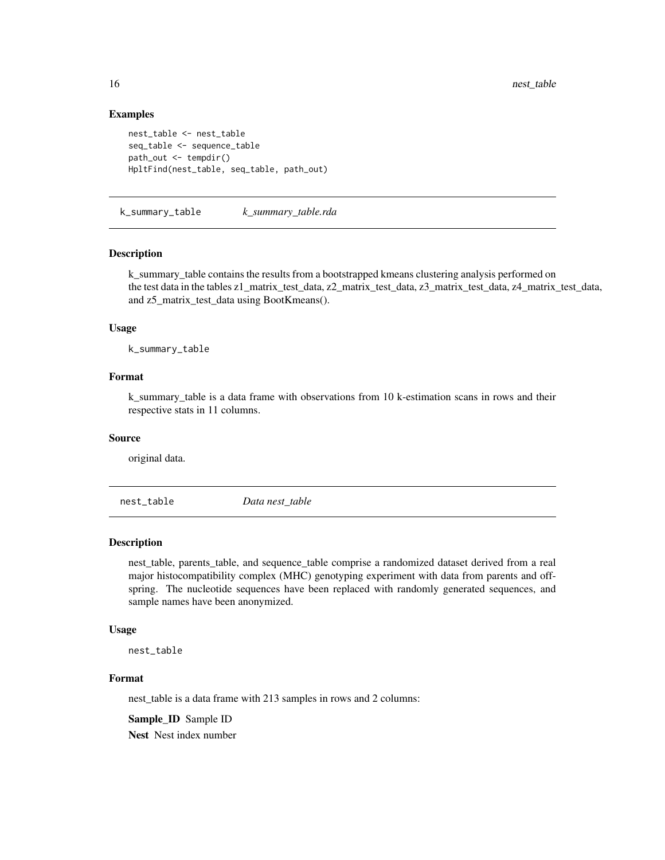#### Examples

```
nest_table <- nest_table
seq_table <- sequence_table
path_out <- tempdir()
HpltFind(nest_table, seq_table, path_out)
```
k\_summary\_table *k\_summary\_table.rda*

#### Description

k\_summary\_table contains the results from a bootstrapped kmeans clustering analysis performed on the test data in the tables z1\_matrix\_test\_data, z2\_matrix\_test\_data, z3\_matrix\_test\_data, z4\_matrix\_test\_data, and z5\_matrix\_test\_data using BootKmeans().

#### Usage

k\_summary\_table

#### Format

k\_summary\_table is a data frame with observations from 10 k-estimation scans in rows and their respective stats in 11 columns.

#### Source

original data.

nest\_table *Data nest\_table*

#### Description

nest\_table, parents\_table, and sequence\_table comprise a randomized dataset derived from a real major histocompatibility complex (MHC) genotyping experiment with data from parents and offspring. The nucleotide sequences have been replaced with randomly generated sequences, and sample names have been anonymized.

#### Usage

nest\_table

#### Format

nest\_table is a data frame with 213 samples in rows and 2 columns:

Sample ID Sample ID

Nest Nest index number

<span id="page-15-0"></span>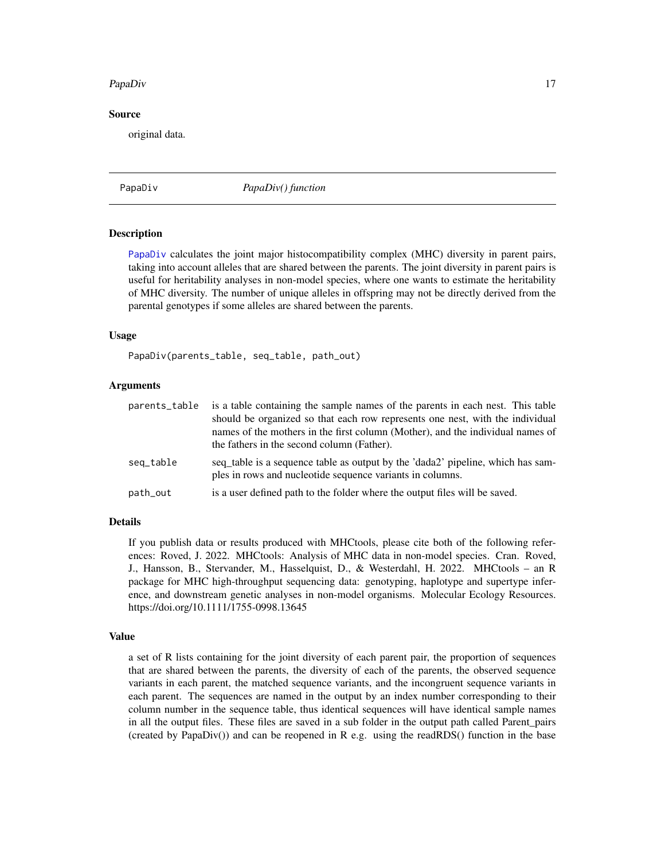#### <span id="page-16-0"></span>PapaDiv and the contract of the contract of the contract of the contract of the contract of the contract of the contract of the contract of the contract of the contract of the contract of the contract of the contract of th

#### Source

original data.

<span id="page-16-1"></span>PapaDiv *PapaDiv() function*

#### **Description**

[PapaDiv](#page-16-1) calculates the joint major histocompatibility complex (MHC) diversity in parent pairs, taking into account alleles that are shared between the parents. The joint diversity in parent pairs is useful for heritability analyses in non-model species, where one wants to estimate the heritability of MHC diversity. The number of unique alleles in offspring may not be directly derived from the parental genotypes if some alleles are shared between the parents.

#### Usage

PapaDiv(parents\_table, seq\_table, path\_out)

#### **Arguments**

| parents_table | is a table containing the sample names of the parents in each nest. This table<br>should be organized so that each row represents one nest, with the individual<br>names of the mothers in the first column (Mother), and the individual names of<br>the fathers in the second column (Father). |
|---------------|-------------------------------------------------------------------------------------------------------------------------------------------------------------------------------------------------------------------------------------------------------------------------------------------------|
| seq_table     | seq_table is a sequence table as output by the 'dada2' pipeline, which has sam-<br>ples in rows and nucleotide sequence variants in columns.                                                                                                                                                    |
| path_out      | is a user defined path to the folder where the output files will be saved.                                                                                                                                                                                                                      |

#### Details

If you publish data or results produced with MHCtools, please cite both of the following references: Roved, J. 2022. MHCtools: Analysis of MHC data in non-model species. Cran. Roved, J., Hansson, B., Stervander, M., Hasselquist, D., & Westerdahl, H. 2022. MHCtools – an R package for MHC high-throughput sequencing data: genotyping, haplotype and supertype inference, and downstream genetic analyses in non-model organisms. Molecular Ecology Resources. https://doi.org/10.1111/1755-0998.13645

#### Value

a set of R lists containing for the joint diversity of each parent pair, the proportion of sequences that are shared between the parents, the diversity of each of the parents, the observed sequence variants in each parent, the matched sequence variants, and the incongruent sequence variants in each parent. The sequences are named in the output by an index number corresponding to their column number in the sequence table, thus identical sequences will have identical sample names in all the output files. These files are saved in a sub folder in the output path called Parent\_pairs (created by PapaDiv()) and can be reopened in R e.g. using the readRDS() function in the base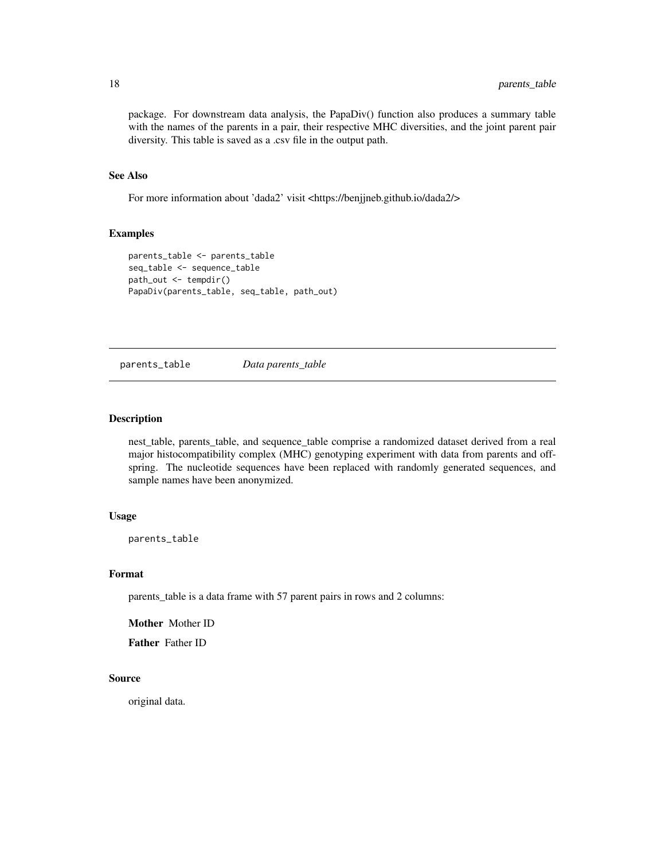<span id="page-17-0"></span>package. For downstream data analysis, the PapaDiv() function also produces a summary table with the names of the parents in a pair, their respective MHC diversities, and the joint parent pair diversity. This table is saved as a .csv file in the output path.

#### See Also

For more information about 'dada2' visit <https://benjjneb.github.io/dada2/>

#### Examples

```
parents_table <- parents_table
seq_table <- sequence_table
path_out <- tempdir()
PapaDiv(parents_table, seq_table, path_out)
```
parents\_table *Data parents\_table*

#### Description

nest\_table, parents\_table, and sequence\_table comprise a randomized dataset derived from a real major histocompatibility complex (MHC) genotyping experiment with data from parents and offspring. The nucleotide sequences have been replaced with randomly generated sequences, and sample names have been anonymized.

#### Usage

parents\_table

#### Format

parents\_table is a data frame with 57 parent pairs in rows and 2 columns:

Mother Mother ID

Father Father ID

#### Source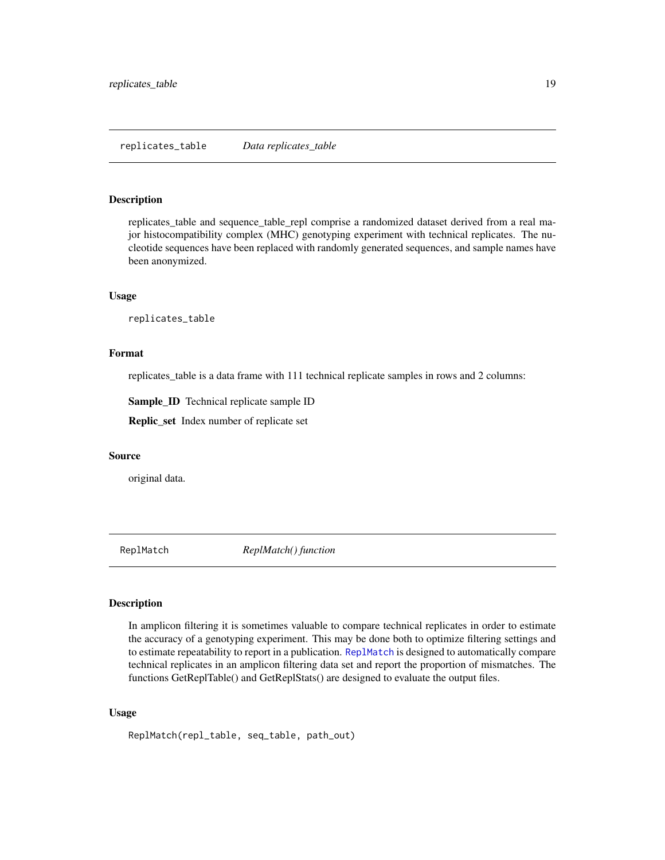<span id="page-18-0"></span>replicates\_table and sequence\_table\_repl comprise a randomized dataset derived from a real major histocompatibility complex (MHC) genotyping experiment with technical replicates. The nucleotide sequences have been replaced with randomly generated sequences, and sample names have been anonymized.

#### Usage

replicates\_table

#### Format

replicates\_table is a data frame with 111 technical replicate samples in rows and 2 columns:

Sample\_ID Technical replicate sample ID

Replic\_set Index number of replicate set

#### Source

original data.

<span id="page-18-1"></span>ReplMatch *ReplMatch() function*

#### Description

In amplicon filtering it is sometimes valuable to compare technical replicates in order to estimate the accuracy of a genotyping experiment. This may be done both to optimize filtering settings and to estimate repeatability to report in a publication. [ReplMatch](#page-18-1) is designed to automatically compare technical replicates in an amplicon filtering data set and report the proportion of mismatches. The functions GetReplTable() and GetReplStats() are designed to evaluate the output files.

#### Usage

ReplMatch(repl\_table, seq\_table, path\_out)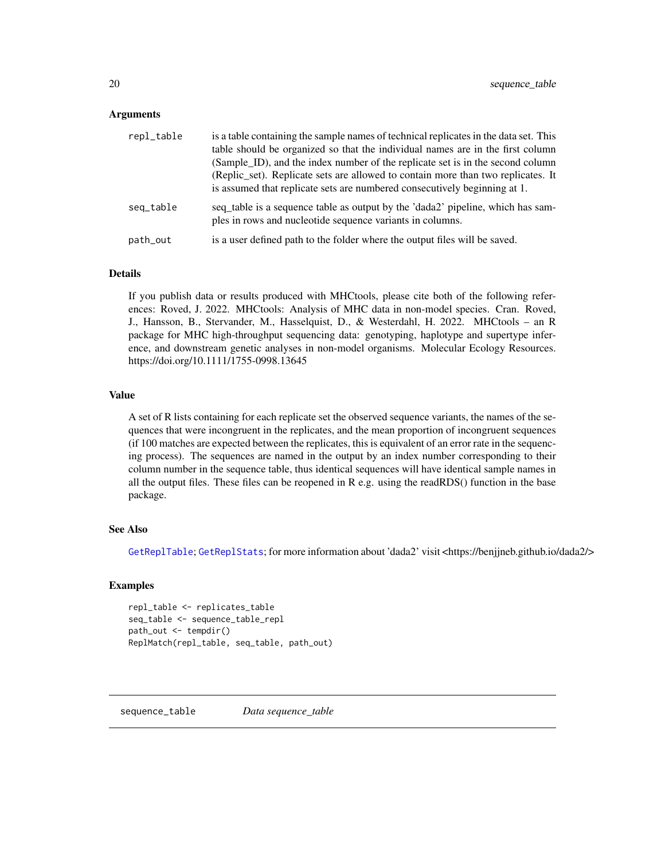#### <span id="page-19-0"></span>Arguments

| repl_table | is a table containing the sample names of technical replicates in the data set. This<br>table should be organized so that the individual names are in the first column<br>(Sample_ID), and the index number of the replicate set is in the second column |
|------------|----------------------------------------------------------------------------------------------------------------------------------------------------------------------------------------------------------------------------------------------------------|
|            | (Replice set). Replicate sets are allowed to contain more than two replicates. It<br>is assumed that replicate sets are numbered consecutively beginning at 1.                                                                                           |
| seq_table  | seq_table is a sequence table as output by the 'dada2' pipeline, which has sam-<br>ples in rows and nucleotide sequence variants in columns.                                                                                                             |
| path_out   | is a user defined path to the folder where the output files will be saved.                                                                                                                                                                               |
|            |                                                                                                                                                                                                                                                          |

#### Details

If you publish data or results produced with MHCtools, please cite both of the following references: Roved, J. 2022. MHCtools: Analysis of MHC data in non-model species. Cran. Roved, J., Hansson, B., Stervander, M., Hasselquist, D., & Westerdahl, H. 2022. MHCtools – an R package for MHC high-throughput sequencing data: genotyping, haplotype and supertype inference, and downstream genetic analyses in non-model organisms. Molecular Ecology Resources. https://doi.org/10.1111/1755-0998.13645

#### Value

A set of R lists containing for each replicate set the observed sequence variants, the names of the sequences that were incongruent in the replicates, and the mean proportion of incongruent sequences (if 100 matches are expected between the replicates, this is equivalent of an error rate in the sequencing process). The sequences are named in the output by an index number corresponding to their column number in the sequence table, thus identical sequences will have identical sample names in all the output files. These files can be reopened in  $R$  e.g. using the readRDS() function in the base package.

#### See Also

[GetReplTable](#page-13-1); [GetReplStats](#page-12-1); for more information about 'dada2' visit <https://benjjneb.github.io/dada2/>

#### Examples

```
repl_table <- replicates_table
seq_table <- sequence_table_repl
path_out <- tempdir()
ReplMatch(repl_table, seq_table, path_out)
```
sequence\_table *Data sequence\_table*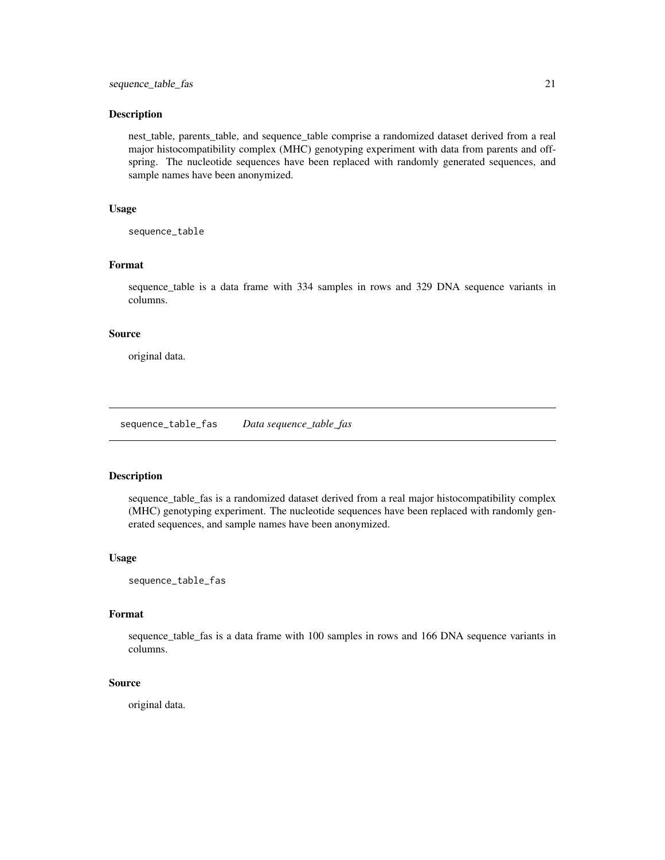<span id="page-20-0"></span>nest\_table, parents\_table, and sequence\_table comprise a randomized dataset derived from a real major histocompatibility complex (MHC) genotyping experiment with data from parents and offspring. The nucleotide sequences have been replaced with randomly generated sequences, and sample names have been anonymized.

#### Usage

sequence\_table

#### Format

sequence\_table is a data frame with 334 samples in rows and 329 DNA sequence variants in columns.

#### Source

original data.

sequence\_table\_fas *Data sequence\_table\_fas*

#### Description

sequence\_table\_fas is a randomized dataset derived from a real major histocompatibility complex (MHC) genotyping experiment. The nucleotide sequences have been replaced with randomly generated sequences, and sample names have been anonymized.

#### Usage

sequence\_table\_fas

#### Format

sequence\_table\_fas is a data frame with 100 samples in rows and 166 DNA sequence variants in columns.

#### Source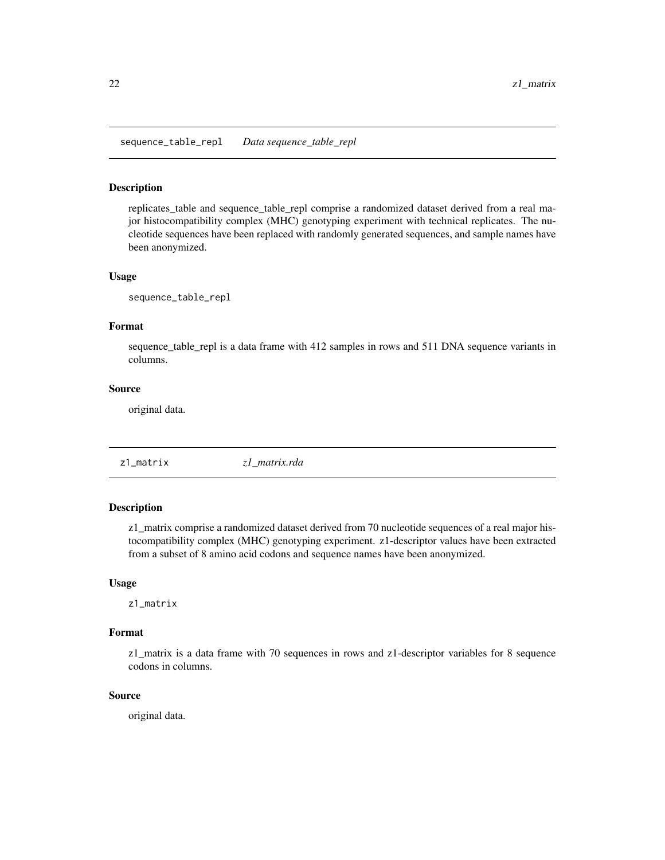<span id="page-21-0"></span>sequence\_table\_repl *Data sequence\_table\_repl*

#### Description

replicates\_table and sequence\_table\_repl comprise a randomized dataset derived from a real major histocompatibility complex (MHC) genotyping experiment with technical replicates. The nucleotide sequences have been replaced with randomly generated sequences, and sample names have been anonymized.

#### Usage

sequence\_table\_repl

#### Format

sequence\_table\_repl is a data frame with 412 samples in rows and 511 DNA sequence variants in columns.

#### Source

original data.

z1\_matrix *z1\_matrix.rda*

#### **Description**

z1\_matrix comprise a randomized dataset derived from 70 nucleotide sequences of a real major histocompatibility complex (MHC) genotyping experiment. z1-descriptor values have been extracted from a subset of 8 amino acid codons and sequence names have been anonymized.

#### Usage

z1\_matrix

#### Format

z1\_matrix is a data frame with 70 sequences in rows and z1-descriptor variables for 8 sequence codons in columns.

#### Source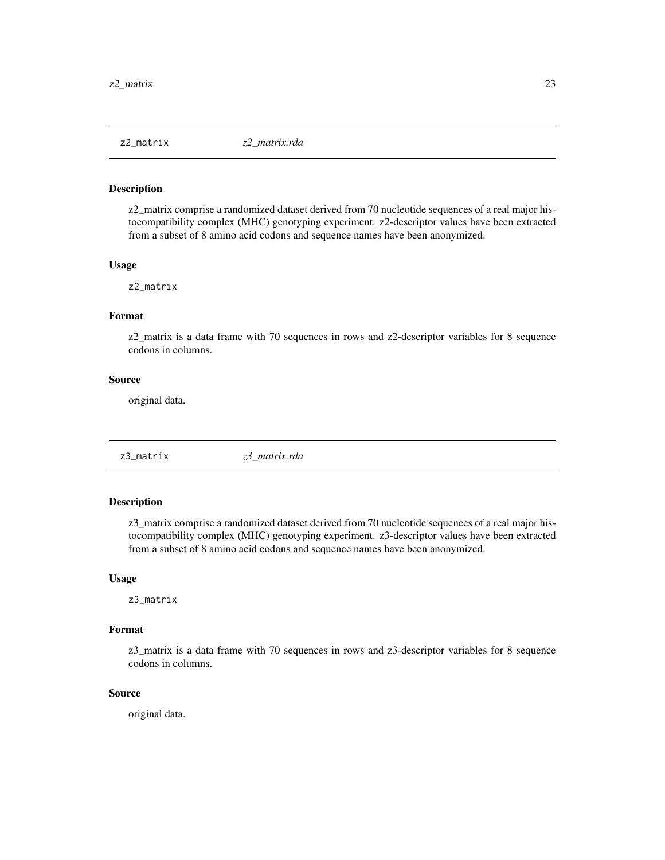<span id="page-22-0"></span>

z2\_matrix comprise a randomized dataset derived from 70 nucleotide sequences of a real major histocompatibility complex (MHC) genotyping experiment. z2-descriptor values have been extracted from a subset of 8 amino acid codons and sequence names have been anonymized.

#### Usage

z2\_matrix

#### Format

z2\_matrix is a data frame with 70 sequences in rows and z2-descriptor variables for 8 sequence codons in columns.

#### Source

original data.

z3\_matrix *z3\_matrix.rda*

#### Description

z3\_matrix comprise a randomized dataset derived from 70 nucleotide sequences of a real major histocompatibility complex (MHC) genotyping experiment. z3-descriptor values have been extracted from a subset of 8 amino acid codons and sequence names have been anonymized.

#### Usage

z3\_matrix

#### Format

z3\_matrix is a data frame with 70 sequences in rows and z3-descriptor variables for 8 sequence codons in columns.

#### Source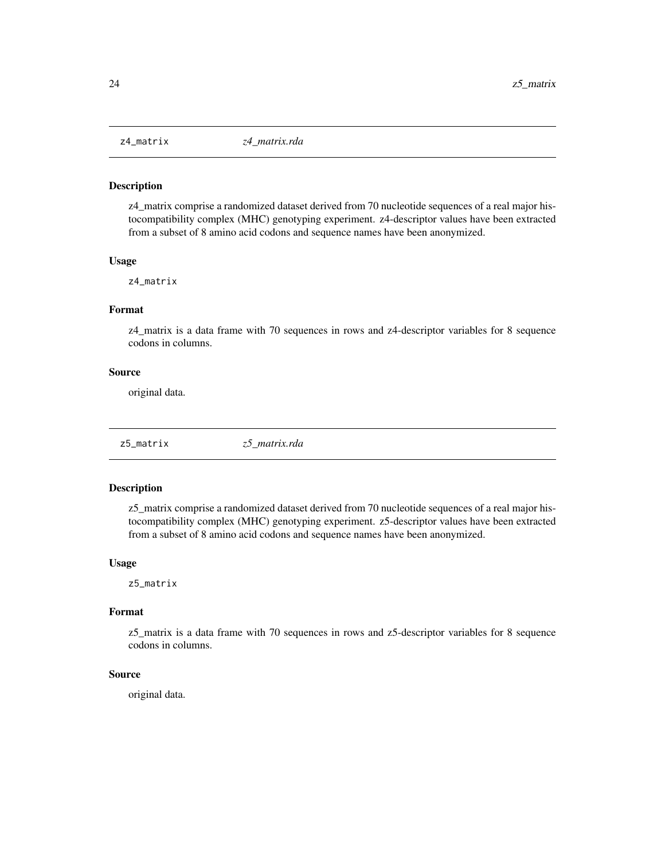<span id="page-23-0"></span>

z4\_matrix comprise a randomized dataset derived from 70 nucleotide sequences of a real major histocompatibility complex (MHC) genotyping experiment. z4-descriptor values have been extracted from a subset of 8 amino acid codons and sequence names have been anonymized.

#### Usage

z4\_matrix

#### Format

z4\_matrix is a data frame with 70 sequences in rows and z4-descriptor variables for 8 sequence codons in columns.

#### Source

original data.

z5\_matrix *z5\_matrix.rda*

#### Description

z5\_matrix comprise a randomized dataset derived from 70 nucleotide sequences of a real major histocompatibility complex (MHC) genotyping experiment. z5-descriptor values have been extracted from a subset of 8 amino acid codons and sequence names have been anonymized.

#### Usage

z5\_matrix

#### Format

z5\_matrix is a data frame with 70 sequences in rows and z5-descriptor variables for 8 sequence codons in columns.

#### Source